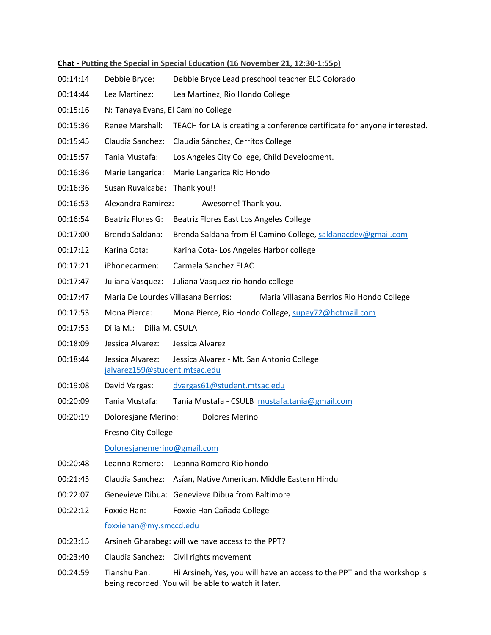| Chat - Putting the Special in Special Education (16 November 21, 12:30-1:55p) |                                                                                                |                                                                                                                                |
|-------------------------------------------------------------------------------|------------------------------------------------------------------------------------------------|--------------------------------------------------------------------------------------------------------------------------------|
| 00:14:14                                                                      | Debbie Bryce:                                                                                  | Debbie Bryce Lead preschool teacher ELC Colorado                                                                               |
| 00:14:44                                                                      | Lea Martinez:                                                                                  | Lea Martinez, Rio Hondo College                                                                                                |
| 00:15:16                                                                      | N: Tanaya Evans, El Camino College                                                             |                                                                                                                                |
| 00:15:36                                                                      | Renee Marshall:                                                                                | TEACH for LA is creating a conference certificate for anyone interested.                                                       |
| 00:15:45                                                                      | Claudia Sanchez:                                                                               | Claudia Sánchez, Cerritos College                                                                                              |
| 00:15:57                                                                      | Tania Mustafa:                                                                                 | Los Angeles City College, Child Development.                                                                                   |
| 00:16:36                                                                      | Marie Langarica:                                                                               | Marie Langarica Rio Hondo                                                                                                      |
| 00:16:36                                                                      | Susan Ruvalcaba: Thank you!!                                                                   |                                                                                                                                |
| 00:16:53                                                                      | Alexandra Ramirez:                                                                             | Awesome! Thank you.                                                                                                            |
| 00:16:54                                                                      | Beatriz Flores G:                                                                              | Beatriz Flores East Los Angeles College                                                                                        |
| 00:17:00                                                                      | Brenda Saldana:                                                                                | Brenda Saldana from El Camino College, saldanacdev@gmail.com                                                                   |
| 00:17:12                                                                      | Karina Cota:                                                                                   | Karina Cota-Los Angeles Harbor college                                                                                         |
| 00:17:21                                                                      | iPhonecarmen:                                                                                  | Carmela Sanchez ELAC                                                                                                           |
| 00:17:47                                                                      | Juliana Vasquez:                                                                               | Juliana Vasquez rio hondo college                                                                                              |
| 00:17:47                                                                      | Maria De Lourdes Villasana Berrios:                                                            | Maria Villasana Berrios Rio Hondo College                                                                                      |
| 00:17:53                                                                      | Mona Pierce:                                                                                   | Mona Pierce, Rio Hondo College, supey72@hotmail.com                                                                            |
| 00:17:53                                                                      | Dilia M.:<br>Dilia M. CSULA                                                                    |                                                                                                                                |
| 00:18:09                                                                      | Jessica Alvarez:                                                                               | Jessica Alvarez                                                                                                                |
| 00:18:44                                                                      | Jessica Alvarez:<br>Jessica Alvarez - Mt. San Antonio College<br>jalvarez159@student.mtsac.edu |                                                                                                                                |
| 00:19:08                                                                      | David Vargas:                                                                                  | dvargas61@student.mtsac.edu                                                                                                    |
| 00:20:09                                                                      | Tania Mustafa:                                                                                 | Tania Mustafa - CSULB mustafa.tania@gmail.com                                                                                  |
| 00:20:19                                                                      | Doloresjane Merino:                                                                            | <b>Dolores Merino</b>                                                                                                          |
|                                                                               | Fresno City College                                                                            |                                                                                                                                |
|                                                                               | Doloresjanemerino@gmail.com                                                                    |                                                                                                                                |
| 00:20:48                                                                      | Leanna Romero:                                                                                 | Leanna Romero Rio hondo                                                                                                        |
| 00:21:45                                                                      |                                                                                                | Claudia Sanchez: Asían, Native American, Middle Eastern Hindu                                                                  |
| 00:22:07                                                                      |                                                                                                | Genevieve Dibua: Genevieve Dibua from Baltimore                                                                                |
| 00:22:12                                                                      | Foxxie Han:                                                                                    | Foxxie Han Cañada College                                                                                                      |
|                                                                               | foxxiehan@my.smccd.edu                                                                         |                                                                                                                                |
| 00:23:15                                                                      |                                                                                                | Arsineh Gharabeg: will we have access to the PPT?                                                                              |
| 00:23:40                                                                      |                                                                                                | Claudia Sanchez: Civil rights movement                                                                                         |
| 00:24:59                                                                      | Tianshu Pan:                                                                                   | Hi Arsineh, Yes, you will have an access to the PPT and the workshop is<br>being recorded. You will be able to watch it later. |

## **Chat - Putting the Special in Special Education (16 November 21, 12:30-1:55p)**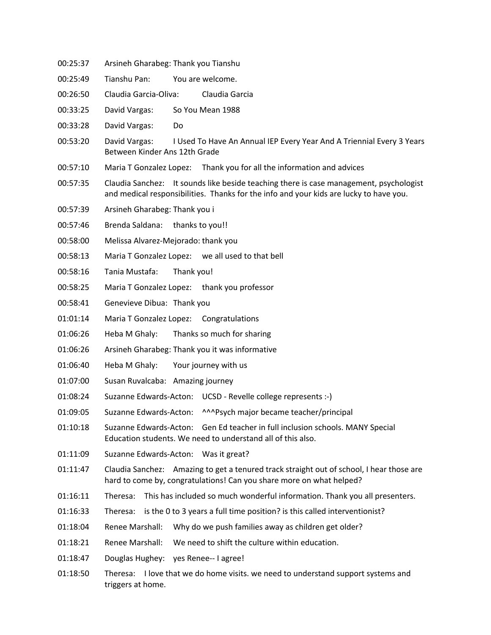- 00:25:37 Arsineh Gharabeg: Thank you Tianshu
- 00:25:49 Tianshu Pan: You are welcome.
- 00:26:50 Claudia Garcia-Oliva: Claudia Garcia
- 00:33:25 David Vargas: So You Mean 1988
- 00:33:28 David Vargas: Do
- 00:53:20 David Vargas: I Used To Have An Annual IEP Every Year And A Triennial Every 3 Years Between Kinder Ans 12th Grade
- 00:57:10 Maria T Gonzalez Lopez: Thank you for all the information and advices
- 00:57:35 Claudia Sanchez: It sounds like beside teaching there is case management, psychologist and medical responsibilities. Thanks for the info and your kids are lucky to have you.
- 00:57:39 Arsineh Gharabeg: Thank you i
- 00:57:46 Brenda Saldana: thanks to you!!
- 00:58:00 Melissa Alvarez-Mejorado: thank you
- 00:58:13 Maria T Gonzalez Lopez: we all used to that bell
- 00:58:16 Tania Mustafa: Thank you!
- 00:58:25 Maria T Gonzalez Lopez: thank you professor
- 00:58:41 Genevieve Dibua: Thank you
- 01:01:14 Maria T Gonzalez Lopez: Congratulations
- 01:06:26 Heba M Ghaly: Thanks so much for sharing
- 01:06:26 Arsineh Gharabeg: Thank you it was informative
- 01:06:40 Heba M Ghaly: Your journey with us
- 01:07:00 Susan Ruvalcaba: Amazing journey
- 01:08:24 Suzanne Edwards-Acton: UCSD Revelle college represents :-)
- 01:09:05 Suzanne Edwards-Acton: ^^^Psych major became teacher/principal
- 01:10:18 Suzanne Edwards-Acton: Gen Ed teacher in full inclusion schools. MANY Special Education students. We need to understand all of this also.
- 01:11:09 Suzanne Edwards-Acton: Was it great?
- 01:11:47 Claudia Sanchez: Amazing to get a tenured track straight out of school, I hear those are hard to come by, congratulations! Can you share more on what helped?
- 01:16:11 Theresa: This has included so much wonderful information. Thank you all presenters.
- 01:16:33 Theresa: is the 0 to 3 years a full time position? is this called interventionist?
- 01:18:04 Renee Marshall: Why do we push families away as children get older?
- 01:18:21 Renee Marshall: We need to shift the culture within education.
- 01:18:47 Douglas Hughey: yes Renee-- I agree!
- 01:18:50 Theresa: I love that we do home visits. we need to understand support systems and triggers at home.